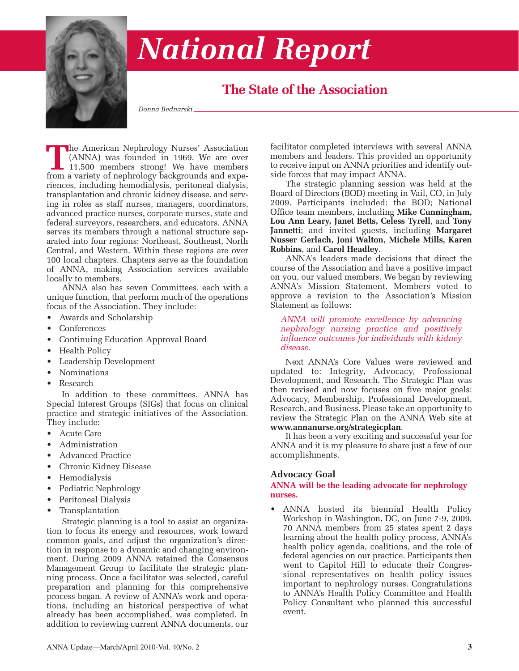

## *National Report*

### **The State of the Association**

*Donna Bednarski*

**The American Nephrology Nurses' Association**<br>(ANNA) was founded in 1969. We are over<br>11,500 members strong! We have members<br>from a variety of nephrology backgrounds and expe-(ANNA) was founded in 1969. We are over 11,500 members strong! We have members from a variety of nephrology backgrounds and experiences, including hemodialysis, peritoneal dialysis, transplantation and chronic kidney disease, and serving in roles as staff nurses, managers, coordinators, advanced practice nurses, corporate nurses, state and federal surveyors, researchers, and educators. ANNA serves its members through a national structure separated into four regions: Northeast, Southeast, North Central, and Western. Within these regions are over 100 local chapters. Chapters serve as the foundation of ANNA, making Association services available locally to members.

ANNA also has seven Committees, each with a unique function, that perform much of the operations focus of the Association. They include:

- Awards and Scholarship
- Conferences
- Continuing Education Approval Board
- Health Policy
- Leadership Development
- Nominations
- Research

In addition to these committees, ANNA has Special Interest Groups (SIGs) that focus on clinical practice and strategic initiatives of the Association. They include:

- Acute Care
- Administration
- Advanced Practice
- Chronic Kidney Disease
- Hemodialysis
- Pediatric Nephrology
- Peritoneal Dialysis
- **Transplantation**

Strategic planning is a tool to assist an organization to focus its energy and resources, work toward common goals, and adjust the organization's direction in response to a dynamic and changing environment. During 2009 ANNA retained the Consensus Management Group to facilitate the strategic planning process. Once a facilitator was selected, careful preparation and planning for this comprehensive process began. A review of ANNA's work and operations, including an historical perspective of what already has been accomplished, was completed. In addition to reviewing current ANNA documents, our

facilitator completed interviews with several ANNA members and leaders. This provided an opportunity to receive input on ANNA priorities and identify outside forces that may impact ANNA.

The strategic planning session was held at the Board of Directors (BOD) meeting in Vail, CO, in July 2009. Participants included: the BOD; National Office team members, including **Mike Cunningham, Lou Ann Leary, Janet Betts, Celess Tyrell**, and **Tony Jannetti**; and invited guests, including **Margaret Nusser Gerlach, Joni Walton, Michele Mills, Karen Robbins**, and **Carol Headley**.

ANNA's leaders made decisions that direct the course of the Association and have a positive impact on you, our valued members. We began by reviewing ANNA's Mission Statement. Members voted to approve a revision to the Association's Mission Statement as follows:

*ANNA will promote excellence by advancing nephrology nursing practice and positively influence outcomes for individuals with kidney disease.*

Next ANNA's Core Values were reviewed and updated to: Integrity, Advocacy, Professional Development, and Research. The Strategic Plan was then revised and now focuses on five major goals: Advocacy, Membership, Professional Development, Research, and Business. Please take an opportunity to review the Strategic Plan on the ANNA Web site at **www.annanurse.org/strategicplan**.

It has been a very exciting and successful year for ANNA and it is my pleasure to share just a few of our accomplishments.

#### **Advocacy Goal**

#### **ANNA will be the leading advocate for nephrology nurses.**

• ANNA hosted its biennial Health Policy Workshop in Washington, DC, on June 7-9, 2009. 70 ANNA members from 25 states spent 2 days learning about the health policy process, ANNA's health policy agenda, coalitions, and the role of federal agencies on our practice. Participants then went to Capitol Hill to educate their Congressional representatives on health policy issues important to nephrology nurses. Congratulations to ANNA's Health Policy Committee and Health Policy Consultant who planned this successful event.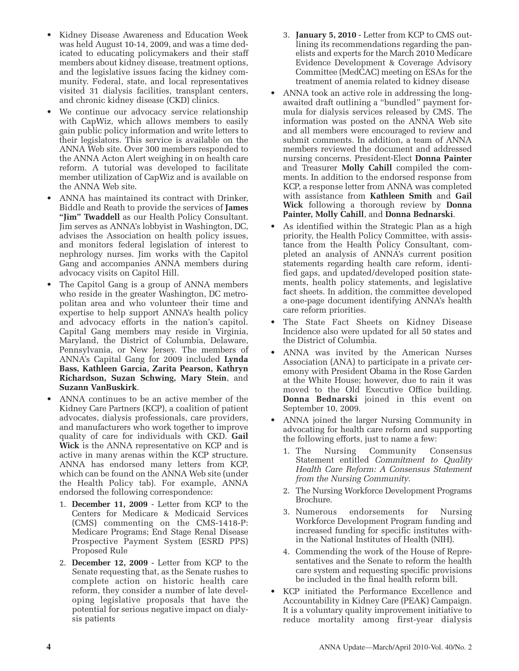- Kidney Disease Awareness and Education Week was held August 10-14, 2009, and was a time dedicated to educating policymakers and their staff members about kidney disease, treatment options, and the legislative issues facing the kidney community. Federal, state, and local representatives visited 31 dialysis facilities, transplant centers, and chronic kidney disease (CKD) clinics.
- We continue our advocacy service relationship with CapWiz, which allows members to easily gain public policy information and write letters to their legislators. This service is available on the ANNA Web site. Over 300 members responded to the ANNA Acton Alert weighing in on health care reform. A tutorial was developed to facilitate member utilization of CapWiz and is available on the ANNA Web site.
- ANNA has maintained its contract with Drinker, Biddle and Reath to provide the services of **James "Jim" Twaddell** as our Health Policy Consultant. Jim serves as ANNA's lobbyist in Washington, DC, advises the Association on health policy issues, and monitors federal legislation of interest to nephrology nurses. Jim works with the Capitol Gang and accompanies ANNA members during advocacy visits on Capitol Hill.
- The Capitol Gang is a group of ANNA members who reside in the greater Washington, DC metropolitan area and who volunteer their time and expertise to help support ANNA's health policy and advocacy efforts in the nation's capitol. Capital Gang members may reside in Virginia, Maryland, the District of Columbia, Delaware, Pennsylvania, or New Jersey. The members of ANNA's Capital Gang for 2009 included **Lynda Bass, Kathleen Garcia, Zarita Pearson, Kathryn Richardson, Suzan Schwing, Mary Stein**, and **Suzann VanBuskirk**.
- ANNA continues to be an active member of the Kidney Care Partners (KCP), a coalition of patient advocates, dialysis professionals, care providers, and manufacturers who work together to improve quality of care for individuals with CKD. **Gail Wick** is the ANNA representative on KCP and is active in many arenas within the KCP structure. ANNA has endorsed many letters from KCP, which can be found on the ANNA Web site (under the Health Policy tab). For example, ANNA endorsed the following correspondence:
	- 1. **December 11, 2009** Letter from KCP to the Centers for Medicare & Medicaid Services (CMS) commenting on the CMS-1418-P: Medicare Programs; End Stage Renal Disease Prospective Payment System (ESRD PPS) Proposed Rule
	- 2. **December 12, 2009** Letter from KCP to the Senate requesting that, as the Senate rushes to complete action on historic health care reform, they consider a number of late developing legislative proposals that have the potential for serious negative impact on dialysis patients
- 3. **January 5, 2010** Letter from KCP to CMS outlining its recommendations regarding the panelists and experts for the March 2010 Medicare Evidence Development & Coverage Advisory Committee (MedCAC) meeting on ESAs for the treatment of anemia related to kidney disease
- ANNA took an active role in addressing the longawaited draft outlining a "bundled" payment formula for dialysis services released by CMS. The information was posted on the ANNA Web site and all members were encouraged to review and submit comments. In addition, a team of ANNA members reviewed the document and addressed nursing concerns. President-Elect **Donna Painter** and Treasurer **Molly Cahill** compiled the comments. In addition to the endorsed response from KCP, a response letter from ANNA was completed with assistance from **Kathleen Smith** and **Gail Wick** following a thorough review by **Donna Painter, Molly Cahill**, and **Donna Bednarski**.
- As identified within the Strategic Plan as a high priority, the Health Policy Committee, with assistance from the Health Policy Consultant, completed an analysis of ANNA's current position statements regarding health care reform, identified gaps, and updated/developed position statements, health policy statements, and legislative fact sheets. In addition, the committee developed a one-page document identifying ANNA's health care reform priorities.
- The State Fact Sheets on Kidney Disease Incidence also were updated for all 50 states and the District of Columbia.
- ANNA was invited by the American Nurses Association (ANA) to participate in a private ceremony with President Obama in the Rose Garden at the White House; however, due to rain it was moved to the Old Executive Office building. **Donna Bednarski** joined in this event on September 10, 2009.
- ANNA joined the larger Nursing Community in advocating for health care reform and supporting the following efforts, just to name a few:
	- 1. The Nursing Community Consensus Statement entitled *Commitment to Quality Health Care Reform: A Consensus Statement from the Nursing Community*.
	- 2. The Nursing Workforce Development Programs Brochure.
	- 3. Numerous endorsements for Nursing Workforce Development Program funding and increased funding for specific institutes within the National Institutes of Health (NIH).
	- 4. Commending the work of the House of Representatives and the Senate to reform the health care system and requesting specific provisions be included in the final health reform bill.
- KCP initiated the Performance Excellence and Accountability in Kidney Care (PEAK) Campaign. It is a voluntary quality improvement initiative to reduce mortality among first-year dialysis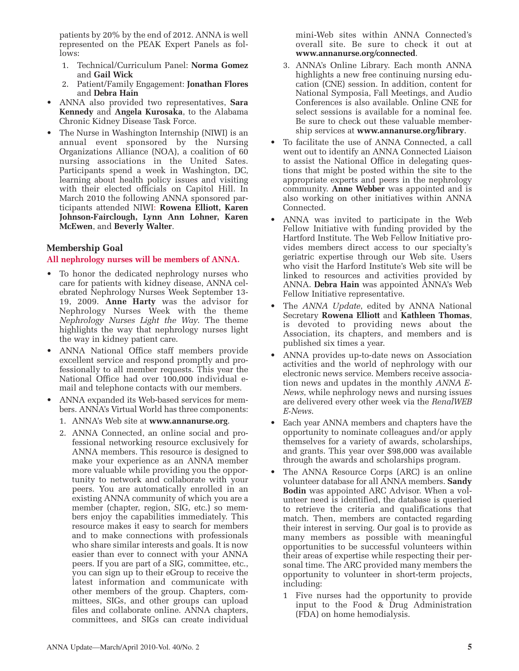patients by 20% by the end of 2012. ANNA is well represented on the PEAK Expert Panels as follows:

- 1. Technical/Curriculum Panel: **Norma Gomez** and **Gail Wick**
- 2. Patient/Family Engagement: **Jonathan Flores** and **Debra Hain**
- ANNA also provided two representatives, **Sara Kennedy** and **Angela Kurosaka**, to the Alabama Chronic Kidney Disease Task Force.
- The Nurse in Washington Internship (NIWI) is an annual event sponsored by the Nursing Organizations Alliance (NOA), a coalition of 60 nursing associations in the United Sates. Participants spend a week in Washington, DC, learning about health policy issues and visiting with their elected officials on Capitol Hill. In March 2010 the following ANNA sponsored participants attended NIWI: **Rowena Elliott, Karen Johnson-Fairclough, Lynn Ann Lohner, Karen McEwen**, and **Beverly Walter**.

#### **Membership Goal**

#### **All nephrology nurses will be members of ANNA.**

- To honor the dedicated nephrology nurses who care for patients with kidney disease, ANNA celebrated Nephrology Nurses Week September 13- 19, 2009. **Anne Harty** was the advisor for Nephrology Nurses Week with the theme *Nephrology Nurses Light the Way*. The theme highlights the way that nephrology nurses light the way in kidney patient care.
- ANNA National Office staff members provide excellent service and respond promptly and professionally to all member requests. This year the National Office had over 100,000 individual email and telephone contacts with our members.
- ANNA expanded its Web-based services for members. ANNA's Virtual World has three components:
	- 1. ANNA's Web site at **www.annanurse.org**.
	- 2. ANNA Connected, an online social and professional networking resource exclusively for ANNA members. This resource is designed to make your experience as an ANNA member more valuable while providing you the opportunity to network and collaborate with your peers. You are automatically enrolled in an existing ANNA community of which you are a member (chapter, region, SIG, etc.) so members enjoy the capabilities immediately. This resource makes it easy to search for members and to make connections with professionals who share similar interests and goals. It is now easier than ever to connect with your ANNA peers. If you are part of a SIG, committee, etc., you can sign up to their eGroup to receive the latest information and communicate with other members of the group. Chapters, committees, SIGs, and other groups can upload files and collaborate online. ANNA chapters, committees, and SIGs can create individual

mini-Web sites within ANNA Connected's overall site. Be sure to check it out at **www.annanurse.org/connected**.

- 3. ANNA's Online Library. Each month ANNA highlights a new free continuing nursing education (CNE) session. In addition, content for National Symposia, Fall Meetings, and Audio Conferences is also available. Online CNE for select sessions is available for a nominal fee. Be sure to check out these valuable membership services at **www.annanurse.org/library**.
- To facilitate the use of ANNA Connected, a call went out to identify an ANNA Connected Liaison to assist the National Office in delegating questions that might be posted within the site to the appropriate experts and peers in the nephrology community. **Anne Webber** was appointed and is also working on other initiatives within ANNA Connected.
- ANNA was invited to participate in the Web Fellow Initiative with funding provided by the Hartford Institute. The Web Fellow Initiative provides members direct access to our specialty's geriatric expertise through our Web site. Users who visit the Harford Institute's Web site will be linked to resources and activities provided by ANNA. **Debra Hain** was appointed ANNA's Web Fellow Initiative representative.
- The *ANNA Update*, edited by ANNA National Secretary **Rowena Elliott** and **Kathleen Thomas**, is devoted to providing news about the Association, its chapters, and members and is published six times a year.
- ANNA provides up-to-date news on Association activities and the world of nephrology with our electronic news service. Members receive association news and updates in the monthly *ANNA E-News*, while nephrology news and nursing issues are delivered every other week via the *RenalWEB E-News*.
- Each year ANNA members and chapters have the opportunity to nominate colleagues and/or apply themselves for a variety of awards, scholarships, and grants. This year over \$98,000 was available through the awards and scholarships program.
- The ANNA Resource Corps (ARC) is an online volunteer database for all ANNA members. **Sandy Bodin** was appointed ARC Advisor. When a volunteer need is identified, the database is queried to retrieve the criteria and qualifications that match. Then, members are contacted regarding their interest in serving. Our goal is to provide as many members as possible with meaningful opportunities to be successful volunteers within their areas of expertise while respecting their personal time. The ARC provided many members the opportunity to volunteer in short-term projects, including:
	- 1 Five nurses had the opportunity to provide input to the Food & Drug Administration (FDA) on home hemodialysis.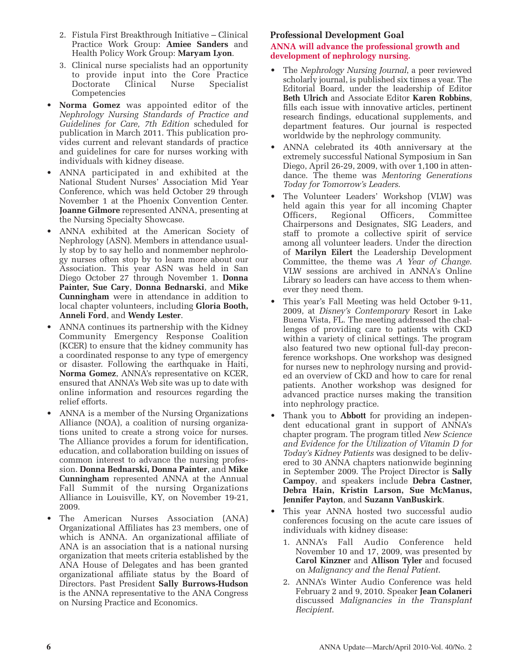- 2. Fistula First Breakthrough Initiative Clinical Practice Work Group: **Amiee Sanders** and Health Policy Work Group: **Maryam Lyon**.
- 3. Clinical nurse specialists had an opportunity to provide input into the Core Practice Doctorate Clinical Nurse Specialist Competencies
- **Norma Gomez** was appointed editor of the *Nephrology Nursing Standards of Practice and Guidelines for Care, 7th Edition* scheduled for publication in March 2011. This publication provides current and relevant standards of practice and guidelines for care for nurses working with individuals with kidney disease.
- ANNA participated in and exhibited at the National Student Nurses' Association Mid Year Conference, which was held October 29 through November 1 at the Phoenix Convention Center. **Joanne Gilmore** represented ANNA, presenting at the Nursing Specialty Showcase.
- ANNA exhibited at the American Society of Nephrology (ASN). Members in attendance usually stop by to say hello and nonmember nephrology nurses often stop by to learn more about our Association. This year ASN was held in San Diego October 27 through November 1. **Donna Painter, Sue Cary**, **Donna Bednarski**, and **Mike Cunningham** were in attendance in addition to local chapter volunteers, including **Gloria Booth, Anneli Ford**, and **Wendy Lester**.
- ANNA continues its partnership with the Kidney Community Emergency Response Coalition (KCER) to ensure that the kidney community has a coordinated response to any type of emergency or disaster. Following the earthquake in Haiti, **Norma Gomez**, ANNA's representative on KCER, ensured that ANNA's Web site was up to date with online information and resources regarding the relief efforts.
- ANNA is a member of the Nursing Organizations Alliance (NOA), a coalition of nursing organizations united to create a strong voice for nurses. The Alliance provides a forum for identification, education, and collaboration building on issues of common interest to advance the nursing profession. **Donna Bednarski, Donna Painter**, and **Mike Cunningham** represented ANNA at the Annual Fall Summit of the nursing Organizations Alliance in Louisville, KY, on November 19-21, 2009.
- The American Nurses Association (ANA) Organizational Affiliates has 23 members, one of which is ANNA. An organizational affiliate of ANA is an association that is a national nursing organization that meets criteria established by the ANA House of Delegates and has been granted organizational affiliate status by the Board of Directors. Past President **Sally Burrows-Hudson** is the ANNA representative to the ANA Congress on Nursing Practice and Economics.

#### **Professional Development Goal**

#### **ANNA will advance the professional growth and development of nephrology nursing.**

- The *Nephrology Nursing Journal*, a peer reviewed scholarly journal, is published six times a year. The Editorial Board, under the leadership of Editor **Beth Ulrich** and Associate Editor **Karen Robbins**, fills each issue with innovative articles, pertinent research findings, educational supplements, and department features. Our journal is respected worldwide by the nephrology community.
- ANNA celebrated its 40th anniversary at the extremely successful National Symposium in San Diego, April 26-29, 2009, with over 1,100 in attendance. The theme was *Mentoring Generations Today for Tomorrow's Leaders*.
- The Volunteer Leaders' Workshop (VLW) was held again this year for all incoming Chapter Officers, Regional Officers, Committee Chairpersons and Designates, SIG Leaders, and staff to promote a collective spirit of service among all volunteer leaders. Under the direction of **Marilyn Eilert** the Leadership Development Committee, the theme was *A Year of Change*. VLW sessions are archived in ANNA's Online Library so leaders can have access to them whenever they need them.
- This year's Fall Meeting was held October 9-11, 2009, at *Disney's Contemporary* Resort in Lake Buena Vista, FL. The meeting addressed the challenges of providing care to patients with CKD within a variety of clinical settings. The program also featured two new optional full-day preconference workshops. One workshop was designed for nurses new to nephrology nursing and provided an overview of CKD and how to care for renal patients. Another workshop was designed for advanced practice nurses making the transition into nephrology practice.
- Thank you to **Abbott** for providing an independent educational grant in support of ANNA's chapter program. The program titled *New Science and Evidence for the Utilization of Vitamin D for Today's Kidney Patients* was designed to be delivered to 30 ANNA chapters nationwide beginning in September 2009. The Project Director is **Sally Campoy**, and speakers include **Debra Castner, Debra Hain, Kristin Larson, Sue McManus, Jennifer Payton**, and **Suzann VanBuskirk**.
- This year ANNA hosted two successful audio conferences focusing on the acute care issues of individuals with kidney disease:
	- 1. ANNA's Fall Audio Conference held November 10 and 17, 2009, was presented by **Carol Kinzner** and **Allison Tyler** and focused on *Malignancy and the Renal Patient*.
	- 2. ANNA's Winter Audio Conference was held February 2 and 9, 2010. Speaker **Jean Colaneri** discussed *Malignancies in the Transplant Recipient*.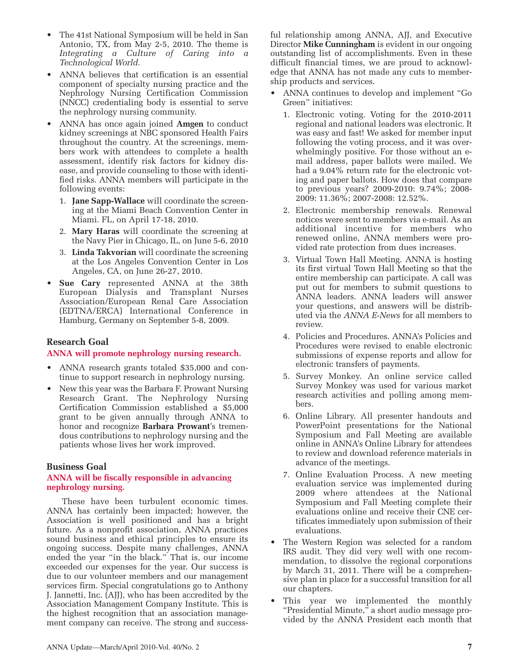- The 41st National Symposium will be held in San Antonio, TX, from May 2-5, 2010. The theme is *Integrating a Culture of Caring into a Technological World*.
- ANNA believes that certification is an essential component of specialty nursing practice and the Nephrology Nursing Certification Commission (NNCC) credentialing body is essential to serve the nephrology nursing community.
- ANNA has once again joined **Amgen** to conduct kidney screenings at NBC sponsored Health Fairs throughout the country. At the screenings, members work with attendees to complete a health assessment, identify risk factors for kidney disease, and provide counseling to those with identified risks. ANNA members will participate in the following events:
	- 1. **Jane Sapp-Wallace** will coordinate the screening at the Miami Beach Convention Center in Miami. FL, on April 17-18, 2010.
	- 2. **Mary Haras** will coordinate the screening at the Navy Pier in Chicago, IL, on June 5-6, 2010
	- 3. **Linda Takvorian** will coordinate the screening at the Los Angeles Convention Center in Los Angeles, CA, on June 26-27, 2010.
- **Sue Cary** represented ANNA at the 38th European Dialysis and Transplant Nurses Association/European Renal Care Association (EDTNA/ERCA) International Conference in Hamburg, Germany on September 5-8, 2009.

#### **Research Goal**

#### **ANNA will promote nephrology nursing research.**

- ANNA research grants totaled \$35,000 and continue to support research in nephrology nursing.
- New this year was the Barbara F. Prowant Nursing Research Grant. The Nephrology Nursing Certification Commission established a \$5,000 grant to be given annually through ANNA to honor and recognize **Barbara Prowant**'s tremendous contributions to nephrology nursing and the patients whose lives her work improved.

#### **Business Goal**

#### **ANNA will be fiscally responsible in advancing nephrology nursing.**

These have been turbulent economic times. ANNA has certainly been impacted; however, the Association is well positioned and has a bright future. As a nonprofit association, ANNA practices sound business and ethical principles to ensure its ongoing success. Despite many challenges, ANNA ended the year "in the black." That is, our income exceeded our expenses for the year. Our success is due to our volunteer members and our management services firm. Special congratulations go to Anthony J. Jannetti, Inc. (AJJ), who has been accredited by the Association Management Company Institute. This is the highest recognition that an association management company can receive. The strong and successful relationship among ANNA, AJJ, and Executive Director **Mike Cunningham** is evident in our ongoing outstanding list of accomplishments. Even in these difficult financial times, we are proud to acknowledge that ANNA has not made any cuts to membership products and services.

- ANNA continues to develop and implement "Go Green" initiatives:
	- 1. Electronic voting. Voting for the 2010-2011 regional and national leaders was electronic. It was easy and fast! We asked for member input following the voting process, and it was overwhelmingly positive. For those without an email address, paper ballots were mailed. We had a 9.04% return rate for the electronic voting and paper ballots. How does that compare to previous years? 2009-2010: 9.74%; 2008- 2009: 11.36%; 2007-2008: 12.52%.
	- 2. Electronic membership renewals. Renewal notices were sent to members via e-mail. As an additional incentive for members who renewed online, ANNA members were provided rate protection from dues increases.
	- 3. Virtual Town Hall Meeting. ANNA is hosting its first virtual Town Hall Meeting so that the entire membership can participate. A call was put out for members to submit questions to ANNA leaders. ANNA leaders will answer your questions, and answers will be distributed via the *ANNA E-News* for all members to review.
	- 4. Policies and Procedures. ANNA's Policies and Procedures were revised to enable electronic submissions of expense reports and allow for electronic transfers of payments.
	- 5. Survey Monkey. An online service called Survey Monkey was used for various market research activities and polling among members.
	- 6. Online Library. All presenter handouts and PowerPoint presentations for the National Symposium and Fall Meeting are available online in ANNA's Online Library for attendees to review and download reference materials in advance of the meetings.
	- 7. Online Evaluation Process. A new meeting evaluation service was implemented during 2009 where attendees at the National Symposium and Fall Meeting complete their evaluations online and receive their CNE certificates immediately upon submission of their evaluations.
- The Western Region was selected for a random IRS audit. They did very well with one recommendation, to dissolve the regional corporations by March 31, 2011. There will be a comprehensive plan in place for a successful transition for all our chapters.
- This year we implemented the monthly "Presidential Minute," a short audio message provided by the ANNA President each month that